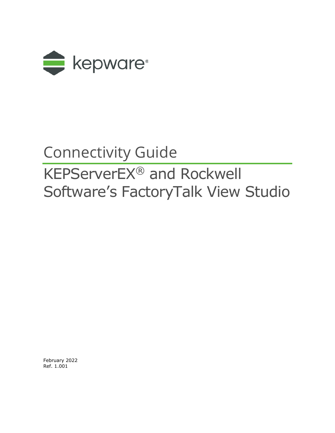

# Connectivity Guide

# KEPServerEX® and Rockwell Software's FactoryTalk View Studio

February 2022 Ref. 1.001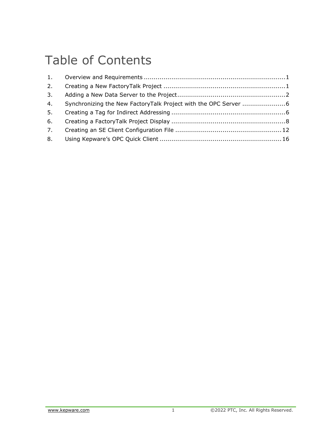# Table of Contents

| 3 <sub>1</sub> |  |
|----------------|--|
| 4.             |  |
| 5.             |  |
|                |  |
|                |  |
|                |  |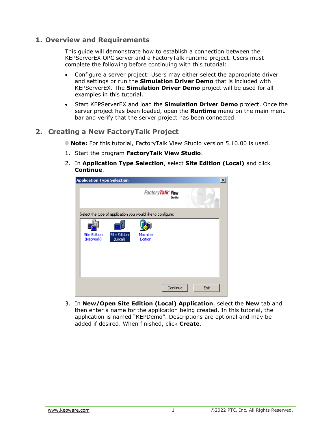### <span id="page-2-0"></span>**1. Overview and Requirements**

This guide will demonstrate how to establish a connection between the KEPServerEX OPC server and a FactoryTalk runtime project. Users must complete the following before continuing with this tutorial:

- Configure a server project: Users may either select the appropriate driver and settings or run the **Simulation Driver Demo** that is included with KEPServerEX. The **Simulation Driver Demo** project will be used for all examples in this tutorial.
- Start KEPServerEX and load the **Simulation Driver Demo** project. Once the server project has been loaded, open the **Runtime** menu on the main menu bar and verify that the server project has been connected.

### <span id="page-2-1"></span>**2. Creating a New FactoryTalk Project**

- **Note:** For this tutorial, FactoryTalk View Studio version 5.10.00 is used.
- 1. Start the program **FactoryTalk View Studio**.
- 2. In **Application Type Selection**, select **Site Edition (Local)** and click **Continue**.

| <b>Application Type Selection</b> |                                                             |                    |          |      | $\vert x \vert$ |
|-----------------------------------|-------------------------------------------------------------|--------------------|----------|------|-----------------|
|                                   |                                                             | FactoryTalk View   | Studio   |      |                 |
|                                   | Select the type of application you would like to configure: |                    |          |      |                 |
| <b>Site Edition</b><br>(Network)  | Site Edition<br>(Local)                                     | Machine<br>Edition |          |      |                 |
|                                   |                                                             |                    | Continue | Exit |                 |

3. In **New/Open Site Edition (Local) Application**, select the **New** tab and then enter a name for the application being created. In this tutorial, the application is named "KEPDemo". Descriptions are optional and may be added if desired. When finished, click **Create**.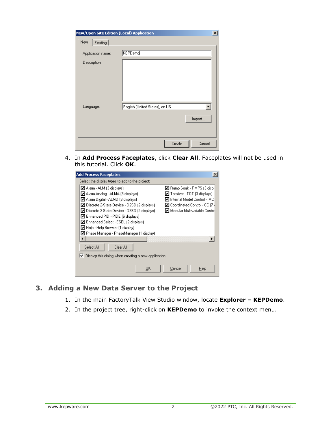| New/Open Site Edition (Local) Application |                                | $\vert x \vert$ |
|-------------------------------------------|--------------------------------|-----------------|
| New<br>Existing                           |                                |                 |
| Application name:                         | <b>KEPDemo</b>                 |                 |
| Description:                              |                                |                 |
|                                           |                                |                 |
| Language:                                 | English (United States), en-US |                 |
|                                           | Import                         |                 |
|                                           | Cancel<br>Create               |                 |

4. In **Add Process Faceplates**, click **Clear All**. Faceplates will not be used in this tutorial. Click **OK**.

| <b>Add Process Faceplates</b>                               | $\times$                        |  |  |  |
|-------------------------------------------------------------|---------------------------------|--|--|--|
| Select the display types to add to the project:             |                                 |  |  |  |
| ☑ Alarm - ALM (3 displays)                                  | ☑ Ramp Soak - RMPS (3 displ     |  |  |  |
| ☑ Alarm Analog - ALMA (3 displays).                         | Totalizer - TOT (3 displays)    |  |  |  |
| ☑ Alarm Digital - ALMD (3 displays)                         | l Internal Model Control - IMCI |  |  |  |
| ☑ Discrete 2-State Device - D2SD (2 displays)               | ☑ Coordinated Control - CC (7 ( |  |  |  |
| ☑ Discrete 3-State Device - D3SD (2 displays)               | ☑ Modular Multivariable Contrd  |  |  |  |
| ■ Enhanced PID - PIDE (6 displays)                          |                                 |  |  |  |
| ☑ Enhanced Select - ESEL (2 displays)                       |                                 |  |  |  |
| ☑ Help - Help Browser (1 display)                           |                                 |  |  |  |
| ☑ Phase Manager - PhaseManager (1 display)                  |                                 |  |  |  |
|                                                             | $\ddot{\phantom{1}}$            |  |  |  |
| Select All<br>Clear All                                     |                                 |  |  |  |
| Display this dialog when creating a new application.<br>IV. |                                 |  |  |  |
| <u>OK</u>                                                   | Help<br>Cancel                  |  |  |  |

### <span id="page-3-0"></span>**3. Adding a New Data Server to the Project**

- 1. In the main FactoryTalk View Studio window, locate **Explorer – KEPDemo**.
- 2. In the project tree, right-click on **KEPDemo** to invoke the context menu.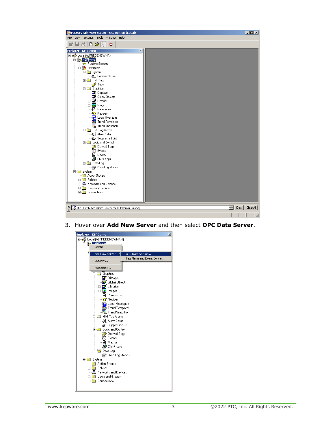

3. Hover over **Add New Server** and then select **OPC Data Server**.

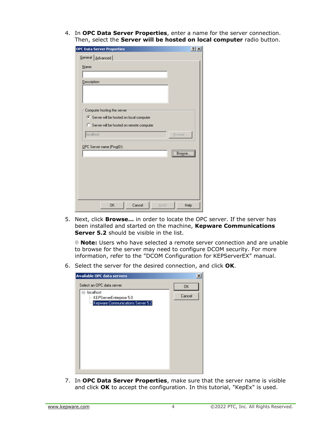4. In **OPC Data Server Properties**, enter a name for the server connection. Then, select the **Server will be hosted on local computer** radio button.

| <b>OPC Data Server Properties</b>          | ? X    |
|--------------------------------------------|--------|
| General   Advanced                         |        |
| Name:                                      |        |
|                                            |        |
| Description:                               |        |
|                                            |        |
|                                            |        |
| Computer hosting the server                |        |
| Server will be hosted on local computer    |        |
| C Server will be hosted on remote computer |        |
| localhost                                  | Browse |
| OPC Server name (ProgID):                  |        |
|                                            | Browse |
|                                            |        |
|                                            |        |
|                                            |        |
|                                            |        |
|                                            |        |
|                                            |        |
| <b>OK</b><br>Cancel<br>Apply               | Help   |

5. Next, click **Browse…** in order to locate the OPC server. If the server has been installed and started on the machine, **Kepware Communications Server 5.2** should be visible in the list.

**Note:** Users who have selected a remote server connection and are unable to browse for the server may need to configure DCOM security. For more information, refer to the "DCOM Configuration for KEPServerEX" manual.

6. Select the server for the desired connection, and click **OK**.

| <b>Available OPC data servers</b>                                            |        |
|------------------------------------------------------------------------------|--------|
| Select an OPC data server                                                    | 0K     |
| ⊟- localhost<br>KEPServerEnterprise 5.0<br>Kepware Communications Server 5.2 | Cancel |
|                                                                              |        |
|                                                                              |        |
|                                                                              |        |

7. In **OPC Data Server Properties**, make sure that the server name is visible and click **OK** to accept the configuration. In this tutorial, "KepEx" is used.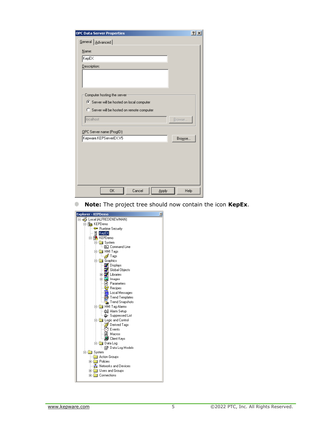| OPC Data Server Properties                 | $\left  \cdot \right $<br>× |
|--------------------------------------------|-----------------------------|
| General   Advanced                         |                             |
| Name:                                      |                             |
| KepEX                                      |                             |
| Description:                               |                             |
|                                            |                             |
|                                            |                             |
| Computer hosting the server                |                             |
| 6 Server will be hosted on local computer  |                             |
| C Server will be hosted on remote computer |                             |
| localhost                                  | Browse                      |
|                                            |                             |
| OPC Server name (ProgID):                  |                             |
| Kepware.KEPServerEX.V5                     | Browse                      |
|                                            |                             |
|                                            |                             |
|                                            |                             |
|                                            |                             |
|                                            |                             |
| 0K<br>Cancel<br>Apply                      | Help                        |

**Note:** The project tree should now contain the icon **KepEx**.ŵ

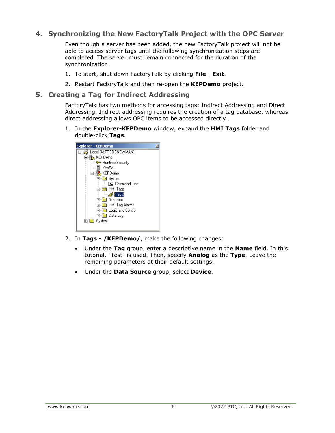## <span id="page-7-0"></span>**4. Synchronizing the New FactoryTalk Project with the OPC Server**

Even though a server has been added, the new FactoryTalk project will not be able to access server tags until the following synchronization steps are completed. The server must remain connected for the duration of the synchronization.

- 1. To start, shut down FactoryTalk by clicking **File** | **Exit**.
- 2. Restart FactoryTalk and then re-open the **KEPDemo** project.

#### <span id="page-7-1"></span>**5. Creating a Tag for Indirect Addressing**

FactoryTalk has two methods for accessing tags: Indirect Addressing and Direct Addressing. Indirect addressing requires the creation of a tag database, whereas direct addressing allows OPC items to be accessed directly.

1. In the **Explorer-KEPDemo** window, expand the **HMI Tags** folder and double-click **Tags**.



- 2. In **Tags - /KEPDemo/**, make the following changes:
	- Under the **Tag** group, enter a descriptive name in the **Name** field. In this tutorial, "Test" is used. Then, specify **Analog** as the **Type**. Leave the remaining parameters at their default settings.
	- Under the **Data Source** group, select **Device**.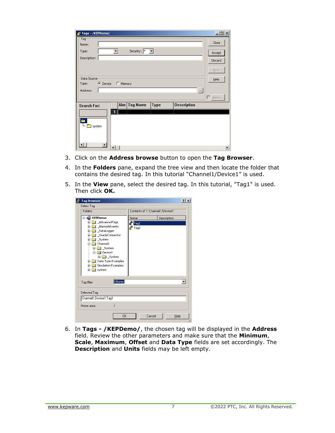| Tags - /KEPDemo/                                                           | $\Box$ D $\times$     |  |  |  |
|----------------------------------------------------------------------------|-----------------------|--|--|--|
| -Tag·                                                                      | Close                 |  |  |  |
| Name:                                                                      |                       |  |  |  |
| Security: *<br>$\vert \mathbf{v} \vert$<br>Type:                           | Accept                |  |  |  |
| Description:                                                               | Discard               |  |  |  |
|                                                                            |                       |  |  |  |
|                                                                            | New                   |  |  |  |
| Data Source                                                                | Help                  |  |  |  |
| $\bullet$ Device<br><b>C</b> Memory<br>Type:                               |                       |  |  |  |
| Address:<br>$\cdots$                                                       |                       |  |  |  |
|                                                                            | Alarm                 |  |  |  |
| Alm<br><b>Tag Name</b><br>Description<br><b>Type</b><br><b>Search For:</b> |                       |  |  |  |
| 1                                                                          |                       |  |  |  |
| è                                                                          |                       |  |  |  |
| <b>or</b> system                                                           |                       |  |  |  |
|                                                                            |                       |  |  |  |
|                                                                            |                       |  |  |  |
| $\blacksquare$<br>⊣                                                        | $\blacktriangleright$ |  |  |  |

- 3. Click on the **Address browse** button to open the **Tag Browser**.
- 4. In the **Folders** pane, expand the tree view and then locate the folder that contains the desired tag. In this tutorial "Channel1/Device1" is used.
- 5. In the **View** pane, select the desired tag. In this tutorial, "Tag1" is used. Then click **OK.**

| <b>Tag Browser</b>                                                                                                                                                                                                                                                                                                                  |                                   | ? X         |
|-------------------------------------------------------------------------------------------------------------------------------------------------------------------------------------------------------------------------------------------------------------------------------------------------------------------------------------|-----------------------------------|-------------|
| Select Tag-<br>Folders                                                                                                                                                                                                                                                                                                              | Contents of '/::Channel1/Device1' |             |
| ∦ KEPDemo<br>AdvancedTags<br>$\overline{+}$<br><b>Alarms&amp;Events</b><br>$\overline{+}$<br>DataLogger<br>$\overline{+}$<br>OracleConnector<br>$\overline{+}$<br>System<br>$\overline{+}$<br>Channel1<br>System<br>田一<br><b>E</b> Device1<br>E System<br>Data Type Examples<br>田一<br>Simulation Examples<br>田<br><b>E-1</b> system | Name<br>Tag1<br>Tag2              | Description |
| <none><br/>Tag filter:</none>                                                                                                                                                                                                                                                                                                       |                                   |             |
| Selected Tag<br>Channel1.Device1.Tag1                                                                                                                                                                                                                                                                                               |                                   |             |
| Home area:<br>1                                                                                                                                                                                                                                                                                                                     |                                   |             |
| <b>OK</b>                                                                                                                                                                                                                                                                                                                           | Cancel                            | Help        |

6. In **Tags - /KEPDemo/**, the chosen tag will be displayed in the **Address** field. Review the other parameters and make sure that the **Minimum**, **Scale**, **Maximum**, **Offset** and **Data Type** fields are set accordingly. The **Description** and **Units** fields may be left empty.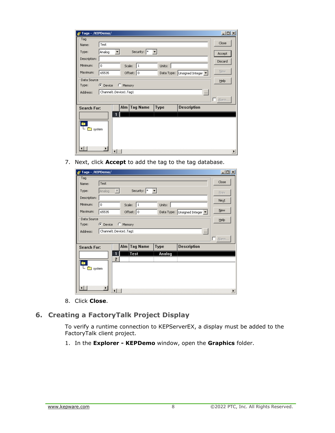| Tags - /KEPDemo/                                                    | $\Box$ D $\times$ |  |  |  |
|---------------------------------------------------------------------|-------------------|--|--|--|
| Tag                                                                 |                   |  |  |  |
| Test<br>Name:                                                       | Close             |  |  |  |
| Security:  *<br>Analog<br>Type:                                     | Accept            |  |  |  |
| Description:                                                        | Discard           |  |  |  |
| Minimum:<br>$\mathbf 0$<br>$\vert$ 1<br>Scale:<br>Units:            |                   |  |  |  |
| Maximum:<br>Offset: 0<br>65535<br>Data Type: Unsigned Integer       | New               |  |  |  |
| Data Source                                                         | Help              |  |  |  |
| $\bullet$ Device<br>C Memory<br>Type:                               |                   |  |  |  |
| Channel1.Device1.Tag1<br>Address:<br>$\cdots$                       |                   |  |  |  |
|                                                                     | L Alarm           |  |  |  |
| <b>Tag Name</b><br>Description<br>Alm<br>Type<br><b>Search For:</b> |                   |  |  |  |
| 1                                                                   |                   |  |  |  |
| ٠<br>system                                                         |                   |  |  |  |
|                                                                     | Þ                 |  |  |  |

7. Next, click **Accept** to add the tag to the tag database.

| Tags - /KEPDemo/   |                       |                        |                 |             |                             | <u> - 미지</u> |
|--------------------|-----------------------|------------------------|-----------------|-------------|-----------------------------|--------------|
| Tag                |                       |                        |                 |             |                             |              |
| Name:              | Test                  |                        |                 |             |                             | Close        |
| Type:              | Analog                |                        | Security: *     |             |                             | Prev         |
| Description:       |                       |                        |                 |             |                             | Next         |
| Minimum:           | $\mathbf 0$           | Scale:                 | $\vert$ 1       | Units:      |                             |              |
| Maximum:           | 65535                 |                        | Offset: 0       |             | Data Type: Unsigned Integer | <b>New</b>   |
| Data Source        |                       |                        |                 |             |                             | Help         |
| Type:              | C Device              | C Memory               |                 |             |                             |              |
| Address:           |                       | Channel1.Device1.Tag1  |                 |             | $\cdots$                    |              |
|                    |                       |                        |                 |             |                             | 口 Alarm      |
| <b>Search For:</b> |                       | Alm                    | <b>Tag Name</b> | <b>Type</b> | Description                 |              |
|                    |                       |                        | Test            | Analog      |                             |              |
| è                  |                       | $\overline{c}$         |                 |             |                             |              |
| system             |                       |                        |                 |             |                             |              |
|                    |                       |                        |                 |             |                             |              |
|                    |                       |                        |                 |             |                             |              |
|                    | $\blacktriangleright$ |                        |                 |             |                             |              |
|                    |                       | $\left  \cdot \right $ |                 |             |                             | Þ            |

8. Click **Close**.

# <span id="page-9-0"></span>**6. Creating a FactoryTalk Project Display**

To verify a runtime connection to KEPServerEX, a display must be added to the FactoryTalk client project.

1. In the **Explorer - KEPDemo** window, open the **Graphics** folder.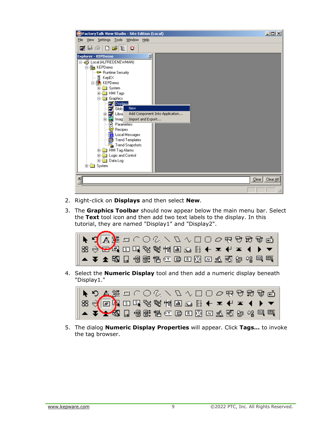| FactoryTalk View Studio - Site Edition (Local)                                                                                                                                                                                                                                                                                                                                                                                                                                                                                            | $\Box$ D $\times$ |
|-------------------------------------------------------------------------------------------------------------------------------------------------------------------------------------------------------------------------------------------------------------------------------------------------------------------------------------------------------------------------------------------------------------------------------------------------------------------------------------------------------------------------------------------|-------------------|
| View Settings Tools Window Help<br>Eile                                                                                                                                                                                                                                                                                                                                                                                                                                                                                                   |                   |
| Z B @ D & E O                                                                                                                                                                                                                                                                                                                                                                                                                                                                                                                             |                   |
| <b>Explorer - KEPDemo</b><br>⊠<br>□ < Local (ALFREDENEWMAN)<br>白 <b>色</b> KEPDemo<br>- <sup>6</sup> Runtime Security<br>▤<br>KepEX<br>白· <b>鵑</b> , KEPDemo<br>⊞ System<br>由 HMI Tags<br>白 <b>图 Graphics</b><br>Displaus:<br>a,<br><b>New</b><br>Glob<br>ø<br>Pi Libra<br>Add Component Into Application<br>由<br>由 <b>M</b> Imag<br>Import and Export<br>मी Parameters<br>먾 Recipes<br>Local Messages<br>Trend Templates<br><b>Ex</b> Trend Snapshots<br>由 HMI Tag Alarms<br>Logic and Control<br>田<br>Data Log<br>国<br>白 <b>B</b> System |                   |
| 츾<br>$Q$ lear                                                                                                                                                                                                                                                                                                                                                                                                                                                                                                                             | Clear All         |
|                                                                                                                                                                                                                                                                                                                                                                                                                                                                                                                                           |                   |

- 2. Right-click on **Displays** and then select **New**.
- 3. The **Graphics Toolbar** should now appear below the main menu bar. Select the **Text** tool icon and then add two text labels to the display. In this tutorial, they are named "Display1" and "Display2".



4. Select the **Numeric Display** tool and then add a numeric display beneath "Display1."



5. The dialog **Numeric Display Properties** will appear. Click **Tags…** to invoke the tag browser.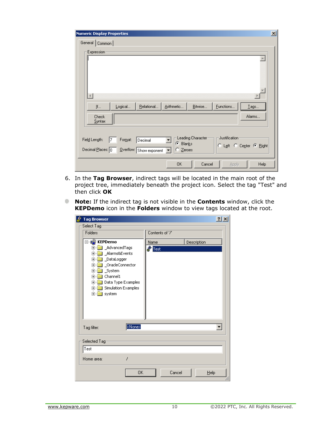| <b>Numeric Display Properties</b>                                                                                                                                                                                                   | $\overline{\mathbf{x}}$ |
|-------------------------------------------------------------------------------------------------------------------------------------------------------------------------------------------------------------------------------------|-------------------------|
| General Common                                                                                                                                                                                                                      |                         |
| Expression-                                                                                                                                                                                                                         |                         |
| $\overline{4}$                                                                                                                                                                                                                      |                         |
| Bitwise<br>Eunctions<br>Relational<br>Arithmetic<br>Logical<br>$I$ ags<br>$\mathbf{I}$ f                                                                                                                                            |                         |
| Alarms<br><b>Check</b><br>Syntax                                                                                                                                                                                                    |                         |
| Justification <sup>.</sup><br>Leading Character <sup>,</sup><br>Field Length:<br>Format:<br>Decimal<br>17<br>C Blanks<br>C Left C Center C Right<br>Decimal Places: 0<br>$Q$ verflow: Show exponent<br>$\bigcirc$ $\subseteq$ eroes |                         |
| OK<br>Cancel<br>Help<br>Apply                                                                                                                                                                                                       |                         |

- 6. In the **Tag Browser**, indirect tags will be located in the main root of the project tree, immediately beneath the project icon. Select the tag "Test" and then click **OK**
- **Note:** If the indirect tag is not visible in the **Contents** window, click the **KEPDemo** icon in the **Folders** window to view tags located at the root.

| <b>Tag Browser</b><br>R                                                                                                                                                                                                                                                   |              |                 |             | $ ?  \times$ |
|---------------------------------------------------------------------------------------------------------------------------------------------------------------------------------------------------------------------------------------------------------------------------|--------------|-----------------|-------------|--------------|
| Select Tag-                                                                                                                                                                                                                                                               |              |                 |             |              |
| Folders                                                                                                                                                                                                                                                                   |              | Contents of '/' |             |              |
| ⊹r <mark>e</mark> KEPDemo<br>_AdvancedTags<br>田<br>Alarms&Events<br>田<br>DataLogger<br>匣<br>_OracleConnector<br>匣<br><b>J</b> _System<br>$\overline{+}$<br><b>Channel1</b><br>中<br>Data Type Examples<br>$\overline{+}$<br>Simulation Examples<br>$\boxed{+}$<br>由 system | Name<br>Test |                 | Description |              |
| <none><br/>Tag filter:</none>                                                                                                                                                                                                                                             |              |                 |             |              |
| Selected Tag                                                                                                                                                                                                                                                              |              |                 |             |              |
| Test                                                                                                                                                                                                                                                                      |              |                 |             |              |
| Ι<br>Home area:                                                                                                                                                                                                                                                           |              |                 |             |              |
|                                                                                                                                                                                                                                                                           | 0K           | Cancel          | Help        |              |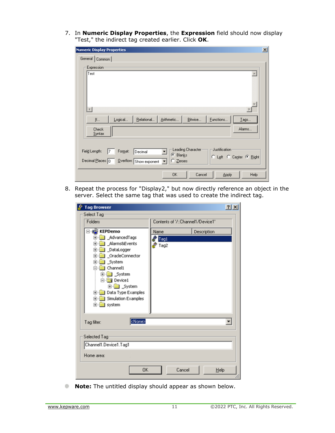7. In **Numeric Display Properties**, the **Expression** field should now display "Test," the indirect tag created earlier. Click **OK**.

| <b>Numeric Display Properties</b>                                                                                                                                                                | $\mathbf{x}$ |
|--------------------------------------------------------------------------------------------------------------------------------------------------------------------------------------------------|--------------|
| General Common                                                                                                                                                                                   |              |
| Expression:<br>Test                                                                                                                                                                              |              |
| $\blacktriangleleft$<br>Bitwise<br>Functions<br>Relational<br>Arithmetic<br>Jf<br>Logical<br>$I$ ags<br>Alarms<br>Check<br><b>Syntax</b>                                                         |              |
| Leading Character<br>Justification<br>Field Length:<br>Format:<br>Decimal<br>17<br>C Blanks<br>C Left C Center C Right<br>Decimal Places: 0<br>Overflow: Show exponent<br>$\degree$ $\geq$ eroes |              |
| 0K<br>Cancel<br>Help<br><b>Apply</b>                                                                                                                                                             |              |

8. Repeat the process for "Display2," but now directly reference an object in the server. Select the same tag that was used to create the indirect tag.

| <b>Tag Browser</b>                                                                                                                                                                                                                                        | ? X                                 |
|-----------------------------------------------------------------------------------------------------------------------------------------------------------------------------------------------------------------------------------------------------------|-------------------------------------|
| Select Tag<br>Folders                                                                                                                                                                                                                                     | Contents of '/::Channel1/Device1'   |
| <b>KEPDemo</b><br>AdvancedTags<br>ஈ<br>Alarms&Events<br>国…<br>DataLogger<br>田<br>OracleConnector<br>匣<br>System<br>匣<br>Channel1<br><b>⊞</b> System<br><b>Device1</b><br>E-Constem<br>Data Type Examples<br>田川<br>Simulation Examples<br>œH<br>E-C system | Description<br>Name<br>Tag1<br>Tag2 |
| <none><br/>Tag filter:</none>                                                                                                                                                                                                                             |                                     |
| Selected Tag<br>Channel1.Device1.Tag1<br>Home area:                                                                                                                                                                                                       |                                     |
| OK                                                                                                                                                                                                                                                        | Cancel<br>Help                      |

**Note:** The untitled display should appear as shown below.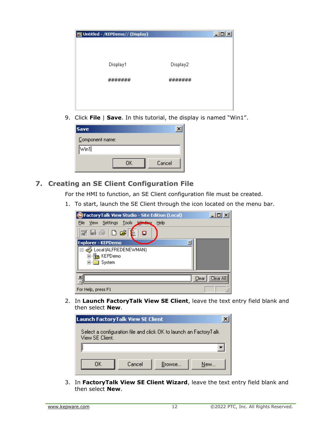| Untitled - /KEPDemo// (Display) |          | $\Box$ $\Box$ $\times$ |
|---------------------------------|----------|------------------------|
|                                 |          |                        |
|                                 |          |                        |
| Display1                        | Display2 |                        |
| #######                         | #######  |                        |
|                                 |          |                        |
|                                 |          |                        |
|                                 |          |                        |

9. Click **File** | **Save**. In this tutorial, the display is named "Win1".

| <b>Save</b>          |              |
|----------------------|--------------|
| Component name:      |              |
| $\sqrt{\text{wind}}$ |              |
|                      | Cancel<br>OΚ |

# <span id="page-13-0"></span>**7. Creating an SE Client Configuration File**

For the HMI to function, an SE Client configuration file must be created.

1. To start, launch the SE Client through the icon located on the menu bar.

| <b>Z</b> Factory Talk View Studio - Site Edition (Local) | $\Box$ $\Box$ $\times$  |
|----------------------------------------------------------|-------------------------|
| File<br>Settings Tools Window<br>Help<br>View            |                         |
| ☑■⊕□☞€<br>о                                              |                         |
| <b>Explorer - KEPDemo</b><br>×                           |                         |
| Local (ALFREDENEWMAN)                                    |                         |
| <b>Pos</b> KEPDemo<br>ஈ                                  |                         |
| ⊞ System                                                 |                         |
|                                                          |                         |
| ×                                                        | <b>Clear A</b><br>Clear |
| For Help, press F1                                       |                         |

2. In **Launch FactoryTalk View SE Client**, leave the text entry field blank and then select **New**.

| <b>Launch Factory Talk View SE Client</b> |        |                                                                   |     |
|-------------------------------------------|--------|-------------------------------------------------------------------|-----|
| View SE Client.                           |        | Select a configuration file and click OK to launch an FactoryTalk |     |
|                                           |        |                                                                   |     |
| ΩK                                        | Cancel | Browse                                                            | New |

3. In **FactoryTalk View SE Client Wizard**, leave the text entry field blank and then select **New**.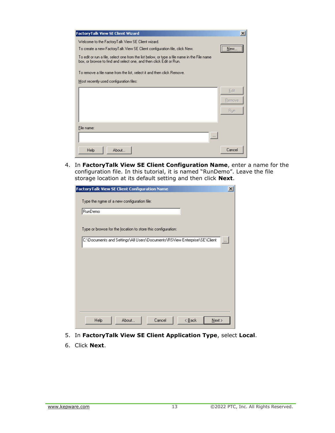| FactoryTalk View SE Client Wizard                                                                                                                                 | $\boldsymbol{\mathsf{x}}$ |
|-------------------------------------------------------------------------------------------------------------------------------------------------------------------|---------------------------|
| Welcome to the FactoryTalk View SE Client wizard.                                                                                                                 |                           |
| To create a new FactoryTalk View SE Client configuration file, click New.                                                                                         | <br>New                   |
| To edit or run a file, select one from the list below, or type a file name in the File name<br>box, or browse to find and select one, and then click Edit or Run. |                           |
| To remove a file name from the list, select it and then click Remove.                                                                                             |                           |
| Most recently used configuration files:                                                                                                                           |                           |
|                                                                                                                                                                   | Edit                      |
|                                                                                                                                                                   | Remove                    |
|                                                                                                                                                                   | Run                       |
|                                                                                                                                                                   |                           |
| File name:                                                                                                                                                        |                           |
| $\cdots$                                                                                                                                                          |                           |
| Help<br>About                                                                                                                                                     | Cancel                    |

4. In **FactoryTalk View SE Client Configuration Name**, enter a name for the configuration file. In this tutorial, it is named "RunDemo". Leave the file storage location at its default setting and then click **Next**.

| FactoryTalk View SE Client Configuration Name                             | ×        |
|---------------------------------------------------------------------------|----------|
| Type the name of a new configuration file:                                |          |
| RunDemo                                                                   |          |
|                                                                           |          |
| Type or browse for the location to store this configuration:              |          |
| C:\Documents and Settings\All Users\Documents\RSView Enterprise\SE\Client | $\cdots$ |
|                                                                           |          |
|                                                                           |          |
|                                                                           |          |
|                                                                           |          |
|                                                                           |          |
|                                                                           |          |
|                                                                           |          |
|                                                                           |          |
| About<br>Cancel<br>Help<br>$\leq$ $\underline{B}$ ack<br>$N$ ext >        |          |

- 5. In **FactoryTalk View SE Client Application Type**, select **Local**.
- 6. Click **Next**.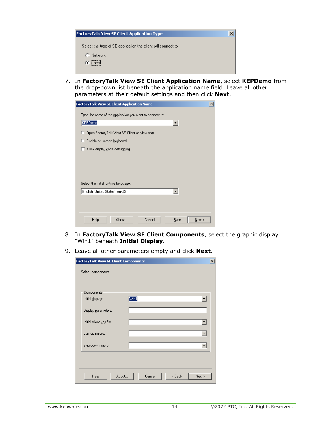| FactoryTalk View SE Client Application Type                   | $\boldsymbol{\mathsf{x}}$ |
|---------------------------------------------------------------|---------------------------|
|                                                               |                           |
| Select the type of SE application the client will connect to: |                           |
| Network                                                       |                           |
| G Locali                                                      |                           |
|                                                               |                           |

7. In **FactoryTalk View SE Client Application Name**, select **KEPDemo** from the drop-down list beneath the application name field. Leave all other parameters at their default settings and then click **Next**.

| FactoryTalk View SE Client Application Name              | $\boldsymbol{\mathsf{x}}$ |
|----------------------------------------------------------|---------------------------|
| Type the name of the application you want to connect to: |                           |
| KEPDemo                                                  |                           |
| Open FactoryTalk View SE Client as view-only             |                           |
| Enable on-screen keyboard                                |                           |
| Allow display gode debugging                             |                           |
|                                                          |                           |
|                                                          |                           |
|                                                          |                           |
| Select the initial runtime language:                     |                           |
| English (United States), en-US                           |                           |
|                                                          |                           |
|                                                          |                           |
| About<br>Cancel<br>Help<br>< Back<br>Next                |                           |
|                                                          |                           |

- 8. In **FactoryTalk View SE Client Components**, select the graphic display "Win1" beneath **Initial Display**.
- 9. Leave all other parameters empty and click **Next**.

| actoryTalk View SE Client Components |                                               | $\vert x \vert$ |
|--------------------------------------|-----------------------------------------------|-----------------|
| Select components.                   |                                               |                 |
| Components<br>Initial display:       | Win1                                          |                 |
| Display parameters:                  |                                               |                 |
| Initial client key file:             |                                               |                 |
| Startup macro:                       |                                               |                 |
| Shutdown macro:                      |                                               |                 |
|                                      |                                               |                 |
| Help                                 | Cancel<br>About<br>$\leq$ $\underline{B}$ ack | $N$ ext >       |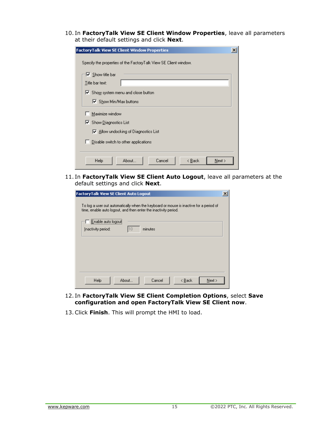10. In **FactoryTalk View SE Client Window Properties**, leave all parameters at their default settings and click **Next**.

| actoryTalk View SE Client Window Properties                      | $\vert x \vert$ |
|------------------------------------------------------------------|-----------------|
| Specify the properties of the FactoryTalk View SE Client window. |                 |
|                                                                  |                 |
| $\nabla$ Show title bar                                          |                 |
| Title bar text:                                                  |                 |
| $\triangledown$ Show system menu and close button                |                 |
| ■ Show Min/Max buttons                                           |                 |
| Maximize window                                                  |                 |
| ☑ Show Diagnostics List                                          |                 |
| $\nabla$ Allow undocking of Diagnostics List                     |                 |
| Disable switch to other applications                             |                 |
|                                                                  |                 |
| Cancel<br>About<br>Help<br>< <u>B</u> ack<br>Next                |                 |

11. In **FactoryTalk View SE Client Auto Logout**, leave all parameters at the default settings and click **Next**.

| <b>FactoryTalk View SE Client Auto Logout</b>                                                                                                             | × |
|-----------------------------------------------------------------------------------------------------------------------------------------------------------|---|
| To log a user out automatically when the keyboard or mouse is inactive for a period of<br>time, enable auto logout, and then enter the inactivity period. |   |
| Enable auto logout<br>110<br>minutes<br>Inactivity period:                                                                                                |   |
|                                                                                                                                                           |   |
|                                                                                                                                                           |   |
| Cancel<br>Help<br>About<br>Next ><br>< <u>B</u> ack                                                                                                       |   |

- 12. In **FactoryTalk View SE Client Completion Options**, select **Save configuration and open FactoryTalk View SE Client now**.
- 13.Click **Finish**. This will prompt the HMI to load.